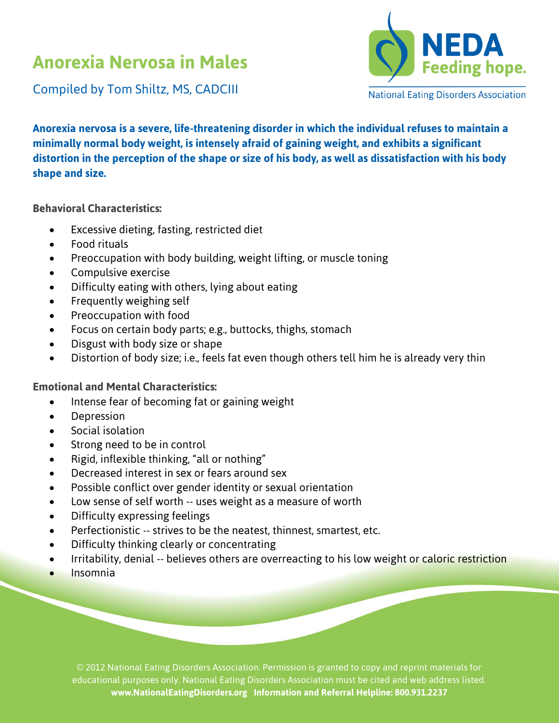## **Anorexia Nervosa in Males**



Compiled by Tom Shiltz, MS, CADCIII

**Anorexia nervosa is a severe, life-threatening disorder in which the individual refuses to maintain a minimally normal body weight, is intensely afraid of gaining weight, and exhibits a significant distortion in the perception of the shape or size of his body, as well as dissatisfaction with his body shape and size.**

**Behavioral Characteristics:**

- Excessive dieting, fasting, restricted diet
- Food rituals
- Preoccupation with body building, weight lifting, or muscle toning
- Compulsive exercise
- Difficulty eating with others, lying about eating
- Frequently weighing self
- Preoccupation with food
- Focus on certain body parts; e.g., buttocks, thighs, stomach
- Disgust with body size or shape
- Distortion of body size; i.e., feels fat even though others tell him he is already very thin

## **Emotional and Mental Characteristics:**

- Intense fear of becoming fat or gaining weight
- Depression
- Social isolation
- Strong need to be in control
- Rigid, inflexible thinking, "all or nothing"
- Decreased interest in sex or fears around sex
- Possible conflict over gender identity or sexual orientation
- Low sense of self worth -- uses weight as a measure of worth
- Difficulty expressing feelings
- Perfectionistic -- strives to be the neatest, thinnest, smartest, etc.
- Difficulty thinking clearly or concentrating
- Irritability, denial -- believes others are overreacting to his low weight or caloric restriction
- Insomnia

© 2012 National Eating Disorders Association. Permission is granted to copy and reprint materials for educational purposes only. National Eating Disorders Association must be cited and web address listed. **www.NationalEatingDisorders.org Information and Referral Helpline: 800.931.2237**